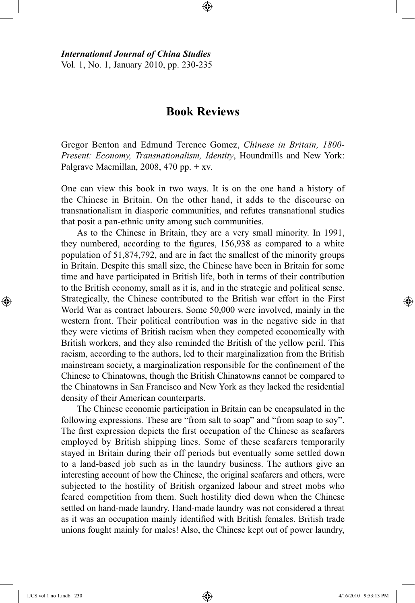## **Book Reviews**

⊕

Gregor Benton and Edmund Terence Gomez, *Chinese in Britain, 1800- Present: Economy, Transnationalism, Identity*, Houndmills and New York: Palgrave Macmillan, 2008, 470 pp. + xv.

One can view this book in two ways. It is on the one hand a history of the Chinese in Britain. On the other hand, it adds to the discourse on transnationalism in diasporic communities, and refutes transnational studies that posit a pan-ethnic unity among such communities.

As to the Chinese in Britain, they are a very small minority. In 1991, they numbered, according to the figures, 156,938 as compared to a white population of 51,874,792, and are in fact the smallest of the minority groups in Britain. Despite this small size, the Chinese have been in Britain for some time and have participated in British life, both in terms of their contribution to the British economy, small as it is, and in the strategic and political sense. Strategically, the Chinese contributed to the British war effort in the First World War as contract labourers. Some 50,000 were involved, mainly in the western front. Their political contribution was in the negative side in that they were victims of British racism when they competed economically with British workers, and they also reminded the British of the yellow peril. This racism, according to the authors, led to their marginalization from the British mainstream society, a marginalization responsible for the confinement of the Chinese to Chinatowns, though the British Chinatowns cannot be compared to the Chinatowns in San Francisco and New York as they lacked the residential density of their American counterparts.

The Chinese economic participation in Britain can be encapsulated in the following expressions. These are "from salt to soap" and "from soap to soy". The first expression depicts the first occupation of the Chinese as seafarers employed by British shipping lines. Some of these seafarers temporarily stayed in Britain during their off periods but eventually some settled down to a land-based job such as in the laundry business. The authors give an interesting account of how the Chinese, the original seafarers and others, were subjected to the hostility of British organized labour and street mobs who feared competition from them. Such hostility died down when the Chinese settled on hand-made laundry. Hand-made laundry was not considered a threat as it was an occupation mainly identified with British females. British trade unions fought mainly for males! Also, the Chinese kept out of power laundry,

⊕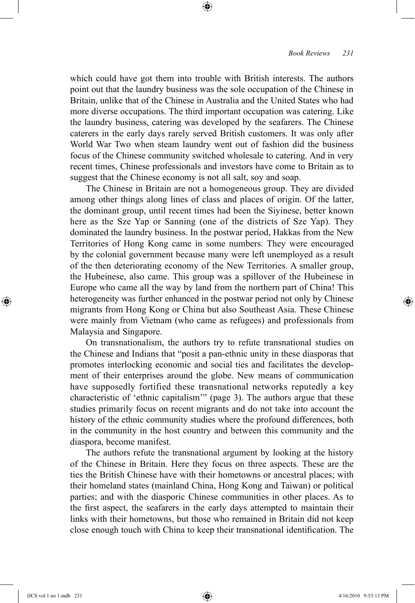which could have got them into trouble with British interests. The authors point out that the laundry business was the sole occupation of the Chinese in Britain, unlike that of the Chinese in Australia and the United States who had more diverse occupations. The third important occupation was catering. Like the laundry business, catering was developed by the seafarers. The Chinese caterers in the early days rarely served British customers. It was only after World War Two when steam laundry went out of fashion did the business focus of the Chinese community switched wholesale to catering. And in very recent times, Chinese professionals and investors have come to Britain as to suggest that the Chinese economy is not all salt, soy and soap.

⊕

The Chinese in Britain are not a homogeneous group. They are divided among other things along lines of class and places of origin. Of the latter, the dominant group, until recent times had been the Siyinese, better known here as the Sze Yap or Sanning (one of the districts of Sze Yap). They dominated the laundry business. In the postwar period, Hakkas from the New Territories of Hong Kong came in some numbers. They were encouraged by the colonial government because many were left unemployed as a result of the then deteriorating economy of the New Territories. A smaller group, the Hubeinese, also came. This group was a spillover of the Hubeinese in Europe who came all the way by land from the northern part of China! This heterogeneity was further enhanced in the postwar period not only by Chinese migrants from Hong Kong or China but also Southeast Asia. These Chinese were mainly from Vietnam (who came as refugees) and professionals from Malaysia and Singapore.

On transnationalism, the authors try to refute transnational studies on the Chinese and Indians that "posit a pan-ethnic unity in these diasporas that promotes interlocking economic and social ties and facilitates the development of their enterprises around the globe. New means of communication have supposedly fortified these transnational networks reputedly a key characteristic of 'ethnic capitalism'" (page 3). The authors argue that these studies primarily focus on recent migrants and do not take into account the history of the ethnic community studies where the profound differences, both in the community in the host country and between this community and the diaspora, become manifest.

The authors refute the transnational argument by looking at the history of the Chinese in Britain. Here they focus on three aspects. These are the ties the British Chinese have with their hometowns or ancestral places; with their homeland states (mainland China, Hong Kong and Taiwan) or political parties; and with the diasporic Chinese communities in other places. As to the first aspect, the seafarers in the early days attempted to maintain their links with their hometowns, but those who remained in Britain did not keep close enough touch with China to keep their transnational identification. The

⊕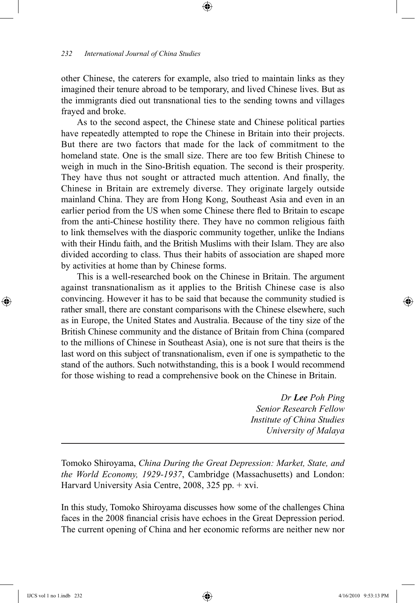## *232 International Journal of China Studies*

other Chinese, the caterers for example, also tried to maintain links as they imagined their tenure abroad to be temporary, and lived Chinese lives. But as the immigrants died out transnational ties to the sending towns and villages frayed and broke.

⊕

As to the second aspect, the Chinese state and Chinese political parties have repeatedly attempted to rope the Chinese in Britain into their projects. But there are two factors that made for the lack of commitment to the homeland state. One is the small size. There are too few British Chinese to weigh in much in the Sino-British equation. The second is their prosperity. They have thus not sought or attracted much attention. And finally, the Chinese in Britain are extremely diverse. They originate largely outside mainland China. They are from Hong Kong, Southeast Asia and even in an earlier period from the US when some Chinese there fled to Britain to escape from the anti-Chinese hostility there. They have no common religious faith to link themselves with the diasporic community together, unlike the Indians with their Hindu faith, and the British Muslims with their Islam. They are also divided according to class. Thus their habits of association are shaped more by activities at home than by Chinese forms.

This is a well-researched book on the Chinese in Britain. The argument against transnationalism as it applies to the British Chinese case is also convincing. However it has to be said that because the community studied is rather small, there are constant comparisons with the Chinese elsewhere, such as in Europe, the United States and Australia. Because of the tiny size of the British Chinese community and the distance of Britain from China (compared to the millions of Chinese in Southeast Asia), one is not sure that theirs is the last word on this subject of transnationalism, even if one is sympathetic to the stand of the authors. Such notwithstanding, this is a book I would recommend for those wishing to read a comprehensive book on the Chinese in Britain.

> *Dr Lee Poh Ping Senior Research Fellow Institute of China Studies University of Malaya*

Tomoko Shiroyama, *China During the Great Depression: Market, State, and the World Economy, 1929-1937*, Cambridge (Massachusetts) and London: Harvard University Asia Centre, 2008, 325 pp. + xvi.

In this study, Tomoko Shiroyama discusses how some of the challenges China faces in the 2008 financial crisis have echoes in the Great Depression period. The current opening of China and her economic reforms are neither new nor

⊕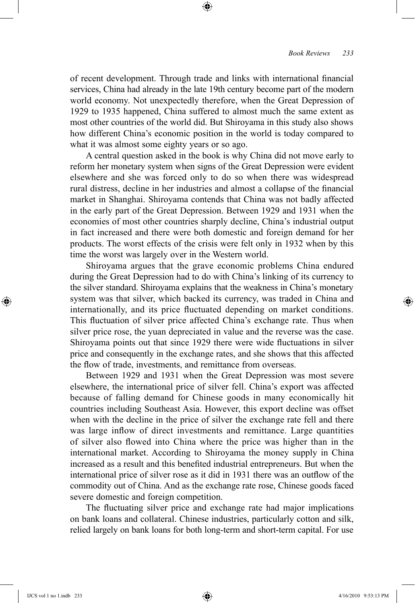of recent development. Through trade and links with international financial services, China had already in the late 19th century become part of the modern world economy. Not unexpectedly therefore, when the Great Depression of 1929 to 1935 happened, China suffered to almost much the same extent as most other countries of the world did. But Shiroyama in this study also shows how different China's economic position in the world is today compared to what it was almost some eighty years or so ago.

⊕

A central question asked in the book is why China did not move early to reform her monetary system when signs of the Great Depression were evident elsewhere and she was forced only to do so when there was widespread rural distress, decline in her industries and almost a collapse of the financial market in Shanghai. Shiroyama contends that China was not badly affected in the early part of the Great Depression. Between 1929 and 1931 when the economies of most other countries sharply decline, China's industrial output in fact increased and there were both domestic and foreign demand for her products. The worst effects of the crisis were felt only in 1932 when by this time the worst was largely over in the Western world.

Shiroyama argues that the grave economic problems China endured during the Great Depression had to do with China's linking of its currency to the silver standard. Shiroyama explains that the weakness in China's monetary system was that silver, which backed its currency, was traded in China and internationally, and its price fluctuated depending on market conditions. This fluctuation of silver price affected China's exchange rate. Thus when silver price rose, the yuan depreciated in value and the reverse was the case. Shiroyama points out that since 1929 there were wide fluctuations in silver price and consequently in the exchange rates, and she shows that this affected the flow of trade, investments, and remittance from overseas.

Between 1929 and 1931 when the Great Depression was most severe elsewhere, the international price of silver fell. China's export was affected because of falling demand for Chinese goods in many economically hit countries including Southeast Asia. However, this export decline was offset when with the decline in the price of silver the exchange rate fell and there was large inflow of direct investments and remittance. Large quantities of silver also flowed into China where the price was higher than in the international market. According to Shiroyama the money supply in China increased as a result and this benefited industrial entrepreneurs. But when the international price of silver rose as it did in 1931 there was an outflow of the commodity out of China. And as the exchange rate rose, Chinese goods faced severe domestic and foreign competition.

The fluctuating silver price and exchange rate had major implications on bank loans and collateral. Chinese industries, particularly cotton and silk, relied largely on bank loans for both long-term and short-term capital. For use

⊕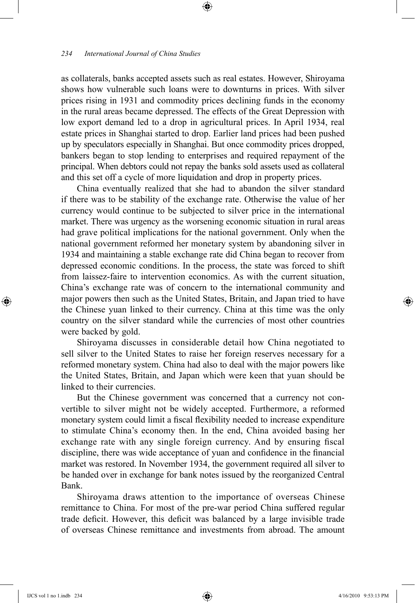## *234 International Journal of China Studies*

as collaterals, banks accepted assets such as real estates. However, Shiroyama shows how vulnerable such loans were to downturns in prices. With silver prices rising in 1931 and commodity prices declining funds in the economy in the rural areas became depressed. The effects of the Great Depression with low export demand led to a drop in agricultural prices. In April 1934, real estate prices in Shanghai started to drop. Earlier land prices had been pushed up by speculators especially in Shanghai. But once commodity prices dropped, bankers began to stop lending to enterprises and required repayment of the principal. When debtors could not repay the banks sold assets used as collateral and this set off a cycle of more liquidation and drop in property prices.

⊕

China eventually realized that she had to abandon the silver standard if there was to be stability of the exchange rate. Otherwise the value of her currency would continue to be subjected to silver price in the international market. There was urgency as the worsening economic situation in rural areas had grave political implications for the national government. Only when the national government reformed her monetary system by abandoning silver in 1934 and maintaining a stable exchange rate did China began to recover from depressed economic conditions. In the process, the state was forced to shift from laissez-faire to intervention economics. As with the current situation, China's exchange rate was of concern to the international community and major powers then such as the United States, Britain, and Japan tried to have the Chinese yuan linked to their currency. China at this time was the only country on the silver standard while the currencies of most other countries were backed by gold.

Shiroyama discusses in considerable detail how China negotiated to sell silver to the United States to raise her foreign reserves necessary for a reformed monetary system. China had also to deal with the major powers like the United States, Britain, and Japan which were keen that yuan should be linked to their currencies.

But the Chinese government was concerned that a currency not convertible to silver might not be widely accepted. Furthermore, a reformed monetary system could limit a fiscal flexibility needed to increase expenditure to stimulate China's economy then. In the end, China avoided basing her exchange rate with any single foreign currency. And by ensuring fiscal discipline, there was wide acceptance of yuan and confidence in the financial market was restored. In November 1934, the government required all silver to be handed over in exchange for bank notes issued by the reorganized Central Bank.

Shiroyama draws attention to the importance of overseas Chinese remittance to China. For most of the pre-war period China suffered regular trade deficit. However, this deficit was balanced by a large invisible trade of overseas Chinese remittance and investments from abroad. The amount

⊕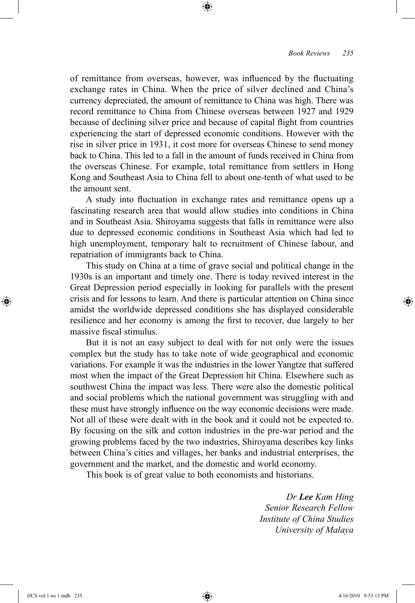of remittance from overseas, however, was influenced by the fluctuating exchange rates in China. When the price of silver declined and China's currency depreciated, the amount of remittance to China was high. There was record remittance to China from Chinese overseas between 1927 and 1929 because of declining silver price and because of capital flight from countries experiencing the start of depressed economic conditions. However with the rise in silver price in 1931, it cost more for overseas Chinese to send money back to China. This led to a fall in the amount of funds received in China from the overseas Chinese. For example, total remittance from settlers in Hong Kong and Southeast Asia to China fell to about one-tenth of what used to be the amount sent.

⊕

A study into fluctuation in exchange rates and remittance opens up a fascinating research area that would allow studies into conditions in China and in Southeast Asia. Shiroyama suggests that falls in remittance were also due to depressed economic conditions in Southeast Asia which had led to high unemployment, temporary halt to recruitment of Chinese labour, and repatriation of immigrants back to China.

This study on China at a time of grave social and political change in the 1930s is an important and timely one. There is today revived interest in the Great Depression period especially in looking for parallels with the present crisis and for lessons to learn. And there is particular attention on China since amidst the worldwide depressed conditions she has displayed considerable resilience and her economy is among the first to recover, due largely to her massive fiscal stimulus.

But it is not an easy subject to deal with for not only were the issues complex but the study has to take note of wide geographical and economic variations. For example it was the industries in the lower Yangtze that suffered most when the impact of the Great Depression hit China. Elsewhere such as southwest China the impact was less. There were also the domestic political and social problems which the national government was struggling with and these must have strongly influence on the way economic decisions were made. Not all of these were dealt with in the book and it could not be expected to. By focusing on the silk and cotton industries in the pre-war period and the growing problems faced by the two industries, Shiroyama describes key links between China's cities and villages, her banks and industrial enterprises, the government and the market, and the domestic and world economy.

This book is of great value to both economists and historians.

*Dr Lee Kam Hing Senior Research Fellow Institute of China Studies University of Malaya*

⊕